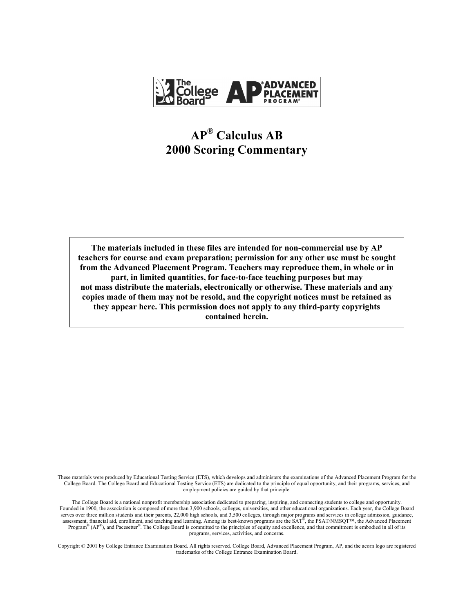

# $AP^®$  Calculus AB **2000 Scoring Commentary**

**The materials included in these files are intended for non-commercial use by AP teachers for course and exam preparation; permission for any other use must be sought from the Advanced Placement Program. Teachers may reproduce them, in whole or in part, in limited quantities, for face-to-face teaching purposes but may not mass distribute the materials, electronically or otherwise. These materials and any copies made of them may not be resold, and the copyright notices must be retained as they appear here. This permission does not apply to any third-party copyrights contained herein.** 

These materials were produced by Educational Testing Service (ETS), which develops and administers the examinations of the Advanced Placement Program for the College Board. The College Board and Educational Testing Service (ETS) are dedicated to the principle of equal opportunity, and their programs, services, and employment policies are guided by that principle.

The College Board is a national nonprofit membership association dedicated to preparing, inspiring, and connecting students to college and opportunity. Founded in 1900, the association is composed of more than 3,900 schools, colleges, universities, and other educational organizations. Each year, the College Board serves over three million students and their parents, 22,000 high schools, and 3,500 colleges, through major programs and services in college admission, guidance, assessment, financial aid, enrollment, and teaching and learning. Among its best-known programs are the  $SAT^{\$}$ , the PSAT/NMSQT<sup>TM</sup>, the Advanced Placement Program<sup>®</sup> (AP<sup>®</sup>), and Pacesetter<sup>®</sup>. The College Board is committed to the principles of equity and excellence, and that commitment is embodied in all of its programs, services, activities, and concerns.

Copyright © 2001 by College Entrance Examination Board. All rights reserved. College Board, Advanced Placement Program, AP, and the acorn logo are registered trademarks of the College Entrance Examination Board.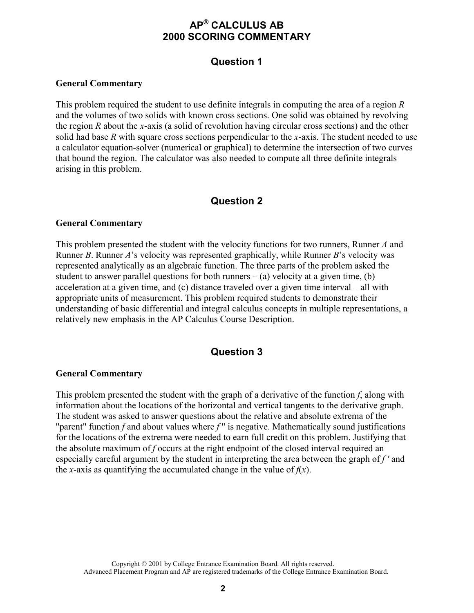# **APÆ CALCULUS AB 2000 SCORING COMMENTARY**

# **Question 1**

### **General Commentary**

This problem required the student to use definite integrals in computing the area of a region *R* and the volumes of two solids with known cross sections. One solid was obtained by revolving the region *R* about the *x*-axis (a solid of revolution having circular cross sections) and the other solid had base *R* with square cross sections perpendicular to the *x*-axis. The student needed to use a calculator equation-solver (numerical or graphical) to determine the intersection of two curves that bound the region. The calculator was also needed to compute all three definite integrals arising in this problem.

# **Question 2**

### **General Commentary**

This problem presented the student with the velocity functions for two runners, Runner *A* and Runner *B*. Runner *A*'s velocity was represented graphically, while Runner *B*'s velocity was represented analytically as an algebraic function. The three parts of the problem asked the student to answer parallel questions for both runners  $-$  (a) velocity at a given time, (b) acceleration at a given time, and  $(c)$  distance traveled over a given time interval – all with appropriate units of measurement. This problem required students to demonstrate their understanding of basic differential and integral calculus concepts in multiple representations, a relatively new emphasis in the AP Calculus Course Description.

### **Question 3**

#### **General Commentary**

This problem presented the student with the graph of a derivative of the function *f*, along with information about the locations of the horizontal and vertical tangents to the derivative graph. The student was asked to answer questions about the relative and absolute extrema of the "parent" function *f* and about values where *f*" is negative. Mathematically sound justifications for the locations of the extrema were needed to earn full credit on this problem. Justifying that the absolute maximum of *f* occurs at the right endpoint of the closed interval required an especially careful argument by the student in interpreting the area between the graph of *f '* and the *x*-axis as quantifying the accumulated change in the value of  $f(x)$ .